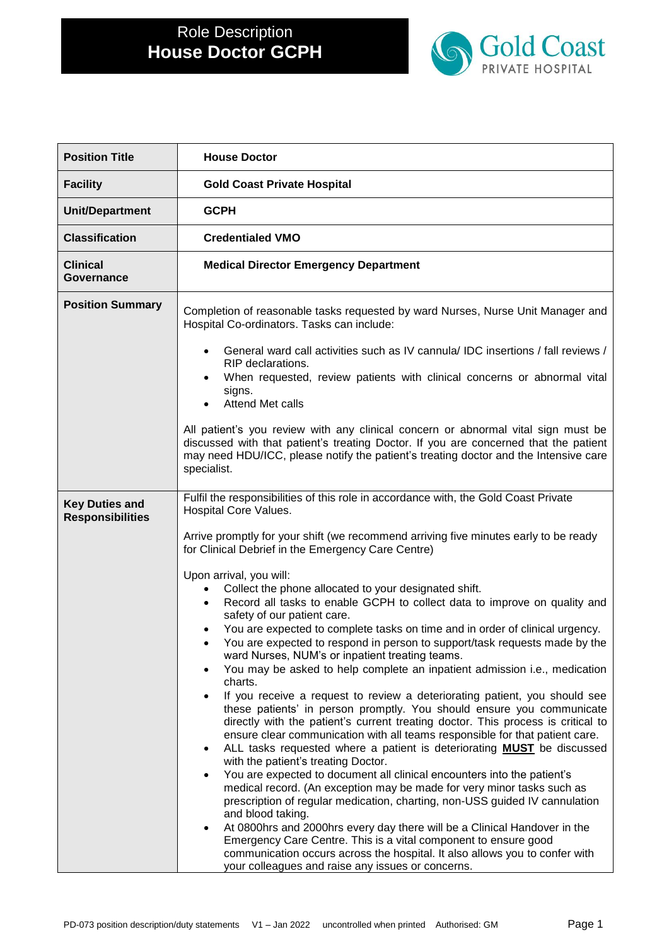

| <b>Position Title</b>                            | <b>House Doctor</b>                                                                                                                                                                                                                                                                                                                                                                                                                                                                                                                                                                                                                                                                                                                                                                                                                                                                                                                                                                                                                                                                                                                                                                                                                                                                                                                                                                                                                                                                                                                                                                                                                                                                                                                                                 |
|--------------------------------------------------|---------------------------------------------------------------------------------------------------------------------------------------------------------------------------------------------------------------------------------------------------------------------------------------------------------------------------------------------------------------------------------------------------------------------------------------------------------------------------------------------------------------------------------------------------------------------------------------------------------------------------------------------------------------------------------------------------------------------------------------------------------------------------------------------------------------------------------------------------------------------------------------------------------------------------------------------------------------------------------------------------------------------------------------------------------------------------------------------------------------------------------------------------------------------------------------------------------------------------------------------------------------------------------------------------------------------------------------------------------------------------------------------------------------------------------------------------------------------------------------------------------------------------------------------------------------------------------------------------------------------------------------------------------------------------------------------------------------------------------------------------------------------|
| <b>Facility</b>                                  | <b>Gold Coast Private Hospital</b>                                                                                                                                                                                                                                                                                                                                                                                                                                                                                                                                                                                                                                                                                                                                                                                                                                                                                                                                                                                                                                                                                                                                                                                                                                                                                                                                                                                                                                                                                                                                                                                                                                                                                                                                  |
| <b>Unit/Department</b>                           | <b>GCPH</b>                                                                                                                                                                                                                                                                                                                                                                                                                                                                                                                                                                                                                                                                                                                                                                                                                                                                                                                                                                                                                                                                                                                                                                                                                                                                                                                                                                                                                                                                                                                                                                                                                                                                                                                                                         |
| <b>Classification</b>                            | <b>Credentialed VMO</b>                                                                                                                                                                                                                                                                                                                                                                                                                                                                                                                                                                                                                                                                                                                                                                                                                                                                                                                                                                                                                                                                                                                                                                                                                                                                                                                                                                                                                                                                                                                                                                                                                                                                                                                                             |
| <b>Clinical</b><br>Governance                    | <b>Medical Director Emergency Department</b>                                                                                                                                                                                                                                                                                                                                                                                                                                                                                                                                                                                                                                                                                                                                                                                                                                                                                                                                                                                                                                                                                                                                                                                                                                                                                                                                                                                                                                                                                                                                                                                                                                                                                                                        |
| <b>Position Summary</b>                          | Completion of reasonable tasks requested by ward Nurses, Nurse Unit Manager and<br>Hospital Co-ordinators. Tasks can include:<br>General ward call activities such as IV cannula/ IDC insertions / fall reviews /<br>RIP declarations.<br>When requested, review patients with clinical concerns or abnormal vital<br>signs.<br>Attend Met calls<br>All patient's you review with any clinical concern or abnormal vital sign must be<br>discussed with that patient's treating Doctor. If you are concerned that the patient<br>may need HDU/ICC, please notify the patient's treating doctor and the Intensive care<br>specialist.                                                                                                                                                                                                                                                                                                                                                                                                                                                                                                                                                                                                                                                                                                                                                                                                                                                                                                                                                                                                                                                                                                                                |
| <b>Key Duties and</b><br><b>Responsibilities</b> | Fulfil the responsibilities of this role in accordance with, the Gold Coast Private<br>Hospital Core Values.<br>Arrive promptly for your shift (we recommend arriving five minutes early to be ready<br>for Clinical Debrief in the Emergency Care Centre)<br>Upon arrival, you will:<br>Collect the phone allocated to your designated shift.<br>Record all tasks to enable GCPH to collect data to improve on quality and<br>safety of our patient care.<br>You are expected to complete tasks on time and in order of clinical urgency.<br>You are expected to respond in person to support/task requests made by the<br>ward Nurses, NUM's or inpatient treating teams.<br>You may be asked to help complete an inpatient admission i.e., medication<br>charts.<br>If you receive a request to review a deteriorating patient, you should see<br>these patients' in person promptly. You should ensure you communicate<br>directly with the patient's current treating doctor. This process is critical to<br>ensure clear communication with all teams responsible for that patient care.<br>ALL tasks requested where a patient is deteriorating <b>MUST</b> be discussed<br>with the patient's treating Doctor.<br>You are expected to document all clinical encounters into the patient's<br>medical record. (An exception may be made for very minor tasks such as<br>prescription of regular medication, charting, non-USS guided IV cannulation<br>and blood taking.<br>At 0800hrs and 2000hrs every day there will be a Clinical Handover in the<br>Emergency Care Centre. This is a vital component to ensure good<br>communication occurs across the hospital. It also allows you to confer with<br>your colleagues and raise any issues or concerns. |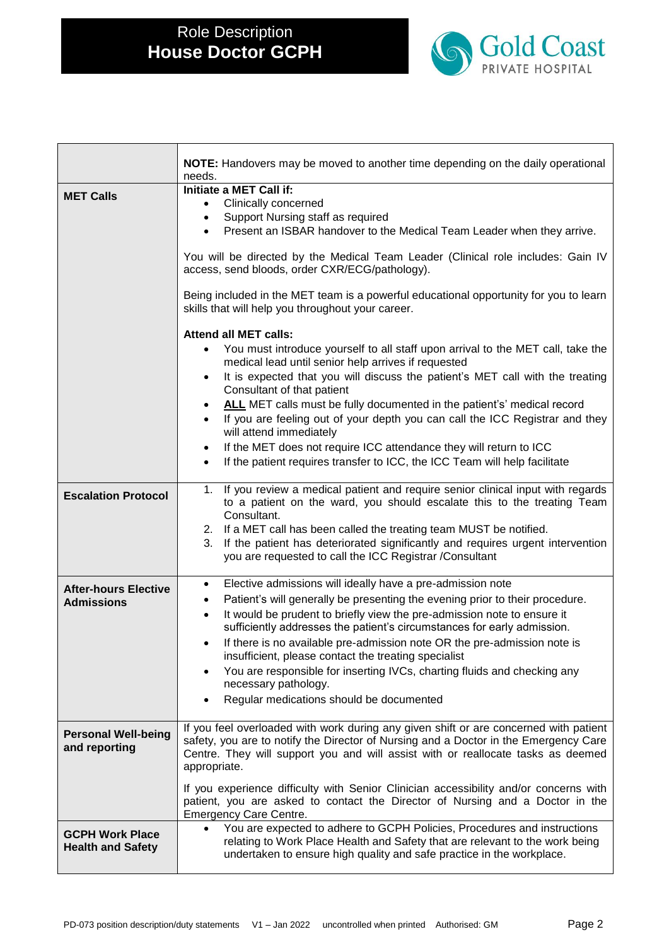

|                                                  | <b>NOTE:</b> Handovers may be moved to another time depending on the daily operational<br>needs.                                                                               |  |  |  |  |
|--------------------------------------------------|--------------------------------------------------------------------------------------------------------------------------------------------------------------------------------|--|--|--|--|
|                                                  | Initiate a MET Call if:                                                                                                                                                        |  |  |  |  |
| <b>MET Calls</b>                                 | Clinically concerned<br>$\bullet$                                                                                                                                              |  |  |  |  |
|                                                  | Support Nursing staff as required<br>$\bullet$                                                                                                                                 |  |  |  |  |
|                                                  | Present an ISBAR handover to the Medical Team Leader when they arrive.<br>$\bullet$                                                                                            |  |  |  |  |
|                                                  | You will be directed by the Medical Team Leader (Clinical role includes: Gain IV                                                                                               |  |  |  |  |
|                                                  | access, send bloods, order CXR/ECG/pathology).                                                                                                                                 |  |  |  |  |
|                                                  | Being included in the MET team is a powerful educational opportunity for you to learn<br>skills that will help you throughout your career.                                     |  |  |  |  |
|                                                  | <b>Attend all MET calls:</b>                                                                                                                                                   |  |  |  |  |
|                                                  | You must introduce yourself to all staff upon arrival to the MET call, take the<br>medical lead until senior help arrives if requested                                         |  |  |  |  |
|                                                  | It is expected that you will discuss the patient's MET call with the treating<br>Consultant of that patient                                                                    |  |  |  |  |
|                                                  | ALL MET calls must be fully documented in the patient's' medical record<br>$\bullet$                                                                                           |  |  |  |  |
|                                                  | If you are feeling out of your depth you can call the ICC Registrar and they<br>$\bullet$<br>will attend immediately                                                           |  |  |  |  |
|                                                  | If the MET does not require ICC attendance they will return to ICC<br>$\bullet$                                                                                                |  |  |  |  |
|                                                  | If the patient requires transfer to ICC, the ICC Team will help facilitate<br>$\bullet$                                                                                        |  |  |  |  |
|                                                  |                                                                                                                                                                                |  |  |  |  |
| <b>Escalation Protocol</b>                       | If you review a medical patient and require senior clinical input with regards<br>1.<br>to a patient on the ward, you should escalate this to the treating Team<br>Consultant. |  |  |  |  |
|                                                  | 2. If a MET call has been called the treating team MUST be notified.                                                                                                           |  |  |  |  |
|                                                  | If the patient has deteriorated significantly and requires urgent intervention<br>3.                                                                                           |  |  |  |  |
|                                                  | you are requested to call the ICC Registrar /Consultant                                                                                                                        |  |  |  |  |
|                                                  | Elective admissions will ideally have a pre-admission note<br>$\bullet$                                                                                                        |  |  |  |  |
| <b>After-hours Elective</b><br><b>Admissions</b> | Patient's will generally be presenting the evening prior to their procedure.                                                                                                   |  |  |  |  |
|                                                  | It would be prudent to briefly view the pre-admission note to ensure it                                                                                                        |  |  |  |  |
|                                                  | sufficiently addresses the patient's circumstances for early admission.<br>If there is no available pre-admission note OR the pre-admission note is<br>$\bullet$               |  |  |  |  |
|                                                  | insufficient, please contact the treating specialist                                                                                                                           |  |  |  |  |
|                                                  | You are responsible for inserting IVCs, charting fluids and checking any                                                                                                       |  |  |  |  |
|                                                  | necessary pathology.                                                                                                                                                           |  |  |  |  |
|                                                  | Regular medications should be documented                                                                                                                                       |  |  |  |  |
| <b>Personal Well-being</b>                       | If you feel overloaded with work during any given shift or are concerned with patient                                                                                          |  |  |  |  |
| and reporting                                    | safety, you are to notify the Director of Nursing and a Doctor in the Emergency Care                                                                                           |  |  |  |  |
|                                                  | Centre. They will support you and will assist with or reallocate tasks as deemed<br>appropriate.                                                                               |  |  |  |  |
|                                                  | If you experience difficulty with Senior Clinician accessibility and/or concerns with                                                                                          |  |  |  |  |
|                                                  | patient, you are asked to contact the Director of Nursing and a Doctor in the                                                                                                  |  |  |  |  |
|                                                  | Emergency Care Centre.                                                                                                                                                         |  |  |  |  |
| <b>GCPH Work Place</b>                           | You are expected to adhere to GCPH Policies, Procedures and instructions                                                                                                       |  |  |  |  |
| <b>Health and Safety</b>                         | relating to Work Place Health and Safety that are relevant to the work being<br>undertaken to ensure high quality and safe practice in the workplace.                          |  |  |  |  |
|                                                  |                                                                                                                                                                                |  |  |  |  |